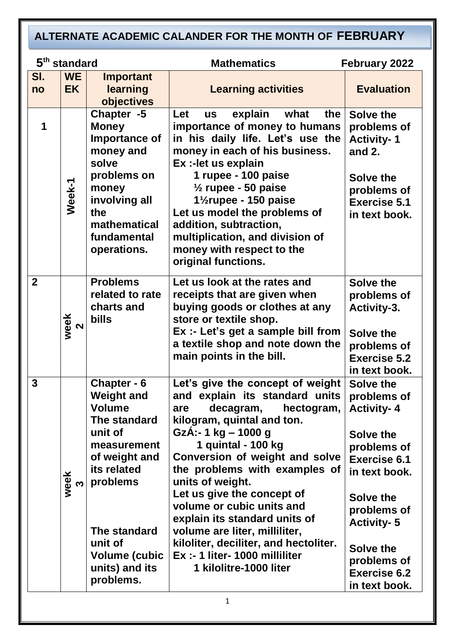#### 1 **5 Mathematics February 2022 Sl. no WE EK Important learning objectives Learning activities** | Evaluation **1 Week-1 Chapter -5 Money Importance of money and solve problems on money involving all the mathematical fundamental operations. Let us explain what the importance of money to humans in his daily life. Let's use the money in each of his business. Ex :-let us explain 1 rupee - 100 paise ½ rupee - 50 paise 1½rupee - 150 paise Let us model the problems of addition, subtraction, multiplication, and division of money with respect to the original functions. Solve the problems of Activity- 1 and 2. Solve the problems of Exercise 5.1 in text book. 2 week**  $\boldsymbol{\sim}$ **Problems related to rate charts and bills Let us look at the rates and receipts that are given when buying goods or clothes at any store or textile shop. Ex :- Let's get a sample bill from a textile shop and note down the main points in the bill. Solve the problems of Activity-3. Solve the problems of Exercise 5.2 in text book. 3 week** <u>ო</u> **Chapter - 6 Weight and Volume The standard unit of measurement of weight and its related problems The standard unit of Volume (cubic units) and its problems. Let's give the concept of weight and explain its standard units are decagram, hectogram, kilogram, quintal and ton. GzÁ:- 1 kg – 1000 g 1 quintal - 100 kg Conversion of weight and solve the problems with examples of units of weight. Let us give the concept of volume or cubic units and explain its standard units of volume are liter, milliliter, kiloliter, deciliter, and hectoliter. Ex :- 1 liter- 1000 milliliter 1 kilolitre-1000 liter Solve the problems of Activity- 4 Solve the problems of Exercise 6.1 in text book. Solve the problems of Activity- 5 Solve the problems of Exercise 6.2 in text book. ALTERNATE ACADEMIC CALANDER FOR THE MONTH OF FEBRUARY 2021-22**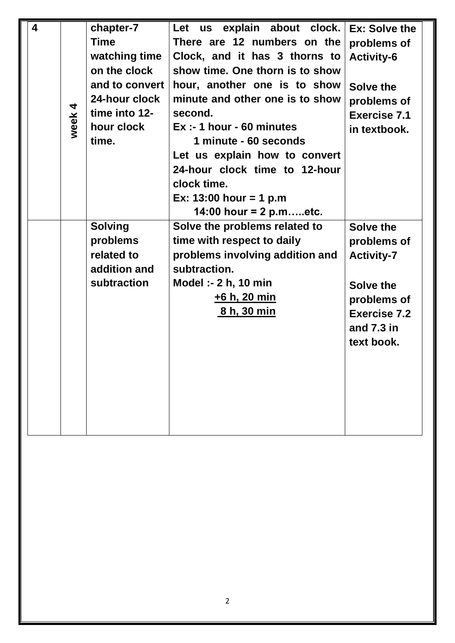| $\overline{\mathbf{4}}$ |           | chapter-7      | Let us explain about clock.     | Ex: Solve the       |
|-------------------------|-----------|----------------|---------------------------------|---------------------|
|                         |           | <b>Time</b>    | There are 12 numbers on the     | problems of         |
|                         |           | watching time  | Clock, and it has 3 thorns to   | <b>Activity-6</b>   |
|                         |           | on the clock   | show time. One thorn is to show |                     |
|                         |           | and to convert | hour, another one is to show    | Solve the           |
|                         |           | 24-hour clock  | minute and other one is to show | problems of         |
|                         | 4<br>week | time into 12-  | second.                         | <b>Exercise 7.1</b> |
|                         |           | hour clock     | $Ex: -1$ hour - 60 minutes      | in textbook.        |
|                         |           | time.          | 1 minute - 60 seconds           |                     |
|                         |           |                | Let us explain how to convert   |                     |
|                         |           |                | 24-hour clock time to 12-hour   |                     |
|                         |           |                | clock time.                     |                     |
|                         |           |                | Ex: $13:00$ hour = 1 p.m        |                     |
|                         |           |                | 14:00 hour = 2 p.metc.          |                     |
|                         |           | <b>Solving</b> | Solve the problems related to   | Solve the           |
|                         |           | problems       | time with respect to daily      | problems of         |
|                         |           | related to     | problems involving addition and | <b>Activity-7</b>   |
|                         |           | addition and   | subtraction.                    |                     |
|                         |           | subtraction    | Model :- 2 h, 10 min            | Solve the           |
|                         |           |                | <u>+6 h, 20 min</u>             | problems of         |
|                         |           |                | <u>8 h, 30 min</u>              | <b>Exercise 7.2</b> |
|                         |           |                |                                 | and $7.3$ in        |
|                         |           |                |                                 | text book.          |
|                         |           |                |                                 |                     |
|                         |           |                |                                 |                     |
|                         |           |                |                                 |                     |
|                         |           |                |                                 |                     |
|                         |           |                |                                 |                     |
|                         |           |                |                                 |                     |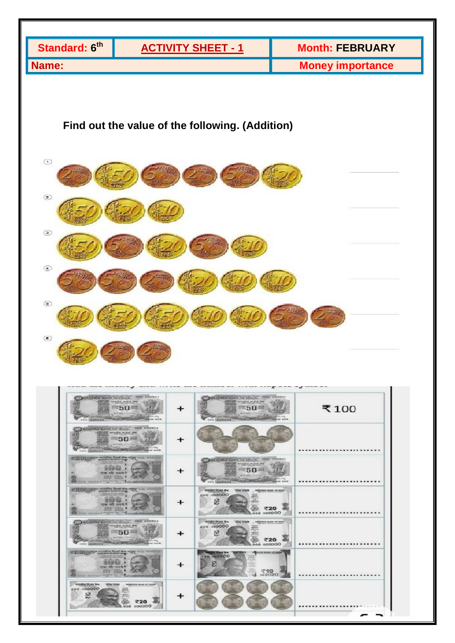

| $-2000 - 1000$<br><b>Call comments</b><br>No. of the Local District Lands<br><b>SOUTHERNESS</b>                                                                                           |   |                                                                                                                                                                                                                                                                                                                                                                                                                                                                                                                                     |       |
|-------------------------------------------------------------------------------------------------------------------------------------------------------------------------------------------|---|-------------------------------------------------------------------------------------------------------------------------------------------------------------------------------------------------------------------------------------------------------------------------------------------------------------------------------------------------------------------------------------------------------------------------------------------------------------------------------------------------------------------------------------|-------|
| <b>ILLUSTRY MINERAL PORT OF A COL POSTED</b><br><b>STANDARD BALLASTER</b><br>STILL<br>$9.0\%$<br>2227<br>एक मंग<br><b>BICK RENDER</b>                                                     | + | COMPATION HANK OF INCLA. SEN 400994<br><b>Call Art American Artists and</b><br>$50 =$<br><b>G.L.WA. In the top</b><br>$\frac{1}{2} \left( \frac{1}{2} \right) \left( \frac{1}{2} \right) \left( \frac{1}{2} \right) \left( \frac{1}{2} \right)$<br><b>The State of the Contract of the Contract of the Contract of the Contract of the Contract of the Contract of the Contract of the Contract of The Contract of The Contract of The Contract of The Contract of The Contract of </b><br><b>SORTEN WIND</b><br><b>SEE ADDRESS</b> |       |
| IIIIII SOPPE WINDH Duel die orge are wrened<br><b>RATESWAY SA his of younger</b><br><b>RIVER GIVE BE FREE</b><br><b>STAR</b><br><b>RPAC: N22</b><br><b>SOUTH #</b><br>WCN NESTER THE REAL |   | strailing fitund War.<br>when temple<br>INGEDIANT BANK OF INCH-<br>800 000000<br>2012<br>e<br>面<br>₹20<br>0000000000                                                                                                                                                                                                                                                                                                                                                                                                                |       |
| <b>DUSTRY HONKOF INNA</b><br>SER ADDRES<br>word's front on<br>$50 -$<br><b>B. F. And  I  y young</b><br><b>DOM: NYSE</b><br><b>SKILL GROUND SK</b>                                        |   | streamy finant line.<br>where nempty<br><b>INDIATIVE BANK OF WORK</b><br>000 000000<br>2012<br>∾<br>s<br><b>Mar</b><br>廇<br>₹20<br>000000.000                                                                                                                                                                                                                                                                                                                                                                                       | <br>. |
| <b>IUDIORY</b> Hotel flot the ring out western<br><b>Caroline Institute State Labournee</b><br><b>TIER</b><br>पाका गति स्टब्स मे<br><b>CCIL INDIANS PARTIES</b>                           |   | <b>ETHING THE</b><br><b><i>INFORMED BANK OF WORK</i></b><br>162020<br>e<br>主<br>て10<br>162020                                                                                                                                                                                                                                                                                                                                                                                                                                       |       |
| screding finant line.<br><b>Million Scottle</b><br><b>BESCHWE GARE OF BIOUS</b><br>000000<br>000<br>s<br>ຼ<br>偏<br>₹20<br>000300<br>000.                                                  | + |                                                                                                                                                                                                                                                                                                                                                                                                                                                                                                                                     | .     |
|                                                                                                                                                                                           |   |                                                                                                                                                                                                                                                                                                                                                                                                                                                                                                                                     |       |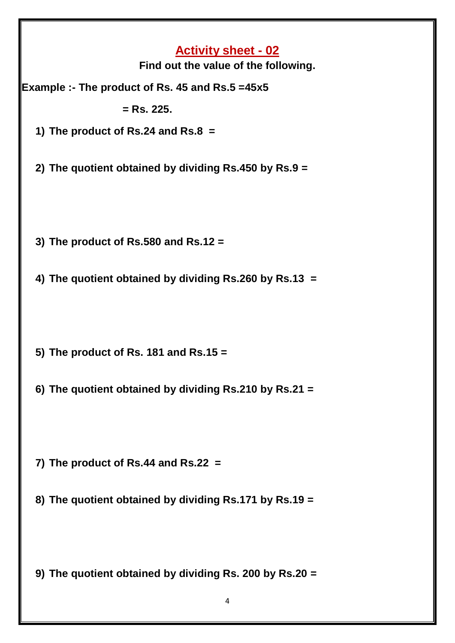| <b>Activity sheet - 02</b><br>Find out the value of the following. |
|--------------------------------------------------------------------|
| Example :- The product of Rs. 45 and Rs.5 =45x5                    |
| $=$ Rs. 225.                                                       |
| 1) The product of Rs.24 and Rs.8 $=$                               |
| 2) The quotient obtained by dividing Rs.450 by Rs.9 =              |
| 3) The product of $Rs.580$ and $Rs.12 =$                           |
| 4) The quotient obtained by dividing Rs.260 by Rs.13 =             |
| 5) The product of Rs. 181 and Rs.15 $=$                            |
| 6) The quotient obtained by dividing Rs.210 by Rs.21 =             |
| 7) The product of Rs.44 and Rs.22 $=$                              |
| 8) The quotient obtained by dividing Rs.171 by Rs.19 =             |
| 9) The quotient obtained by dividing Rs. 200 by Rs.20 =            |
| 4                                                                  |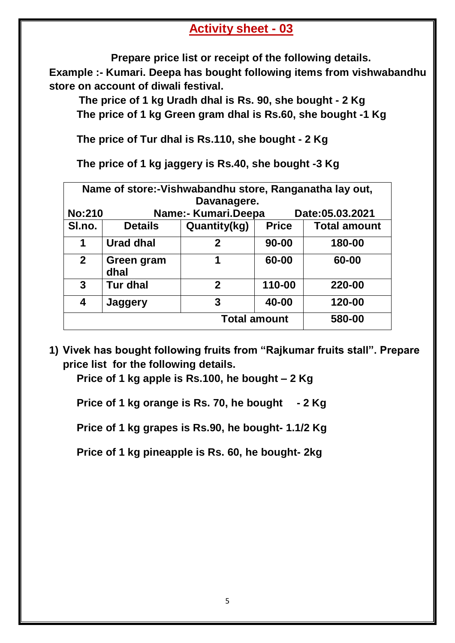### **Activity sheet - 03**

**Prepare price list or receipt of the following details. Example :- Kumari. Deepa has bought following items from vishwabandhu store on account of diwali festival.**

 **The price of 1 kg Uradh dhal is Rs. 90, she bought - 2 Kg The price of 1 kg Green gram dhal is Rs.60, she bought -1 Kg**

**The price of Tur dhal is Rs.110, she bought - 2 Kg**

**The price of 1 kg jaggery is Rs.40, she bought -3 Kg**

| Name of store:-Vishwabandhu store, Ranganatha lay out, |                                        |                     |              |                     |  |
|--------------------------------------------------------|----------------------------------------|---------------------|--------------|---------------------|--|
| Davanagere.                                            |                                        |                     |              |                     |  |
| <b>No:210</b>                                          | Name:- Kumari.Deepa<br>Date:05.03.2021 |                     |              |                     |  |
| SI.no.                                                 | <b>Details</b>                         | Quantity(kg)        | <b>Price</b> | <b>Total amount</b> |  |
| 1                                                      | <b>Urad dhal</b>                       | $\mathbf 2$         | $90 - 00$    | 180-00              |  |
| $\mathbf{2}$                                           | Green gram<br>dhal                     | 1                   | 60-00        | 60-00               |  |
| 3                                                      | <b>Tur dhal</b>                        | $\mathbf 2$         | 110-00       | 220-00              |  |
| 4                                                      | Jaggery                                | 3                   | 40-00        | 120-00              |  |
|                                                        |                                        | <b>Total amount</b> |              | 580-00              |  |

**1) Vivek has bought following fruits from "Rajkumar fruits stall". Prepare price list for the following details.**

**Price of 1 kg apple is Rs.100, he bought – 2 Kg**

**Price of 1 kg orange is Rs. 70, he bought - 2 Kg**

**Price of 1 kg grapes is Rs.90, he bought- 1.1/2 Kg**

**Price of 1 kg pineapple is Rs. 60, he bought- 2kg**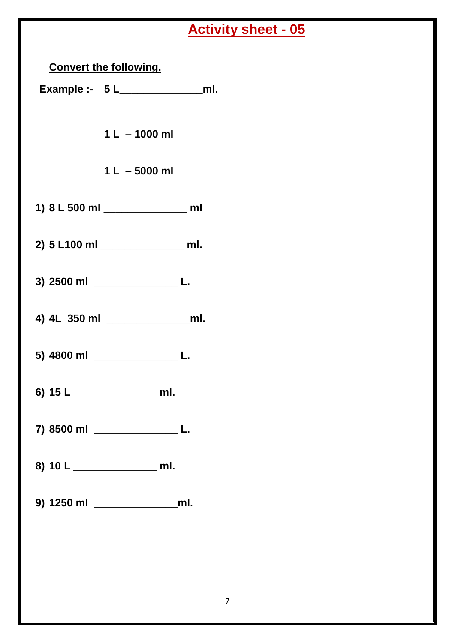# **Activity sheet - 05**

| <b>Convert the following.</b>          |  |
|----------------------------------------|--|
| Example :- $5 L_{\_}$ ml.              |  |
| $1 L - 1000 ml$<br>$1 L - 5000 ml$     |  |
|                                        |  |
| 1) 8 L 500 ml ________________ ml      |  |
| 2) 5 L100 ml _________________ ml.     |  |
| 3) 2500 ml ________________________ L. |  |
|                                        |  |
| 5) 4800 ml _______________________ L.  |  |
|                                        |  |
| 7) 8500 ml ____________________ L.     |  |
| 8) 10 L ____________________ ml.       |  |
| 9) 1250 ml ______________________ml.   |  |
|                                        |  |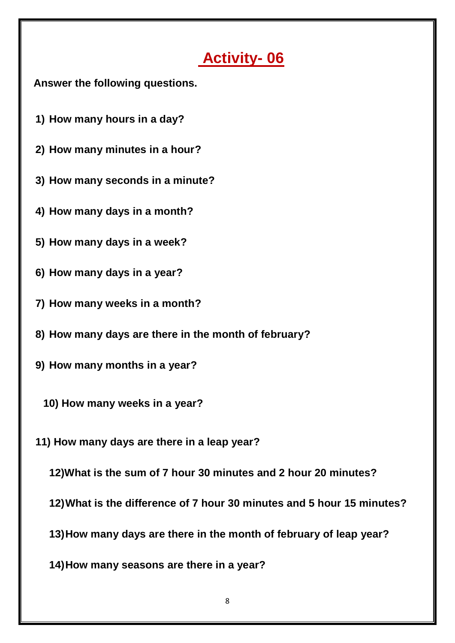## **Activity- 06**

 **Answer the following questions.**

- **1) How many hours in a day?**
- **2) How many minutes in a hour?**
- **3) How many seconds in a minute?**
- **4) How many days in a month?**
- **5) How many days in a week?**
- **6) How many days in a year?**
- **7) How many weeks in a month?**
- **8) How many days are there in the month of february?**
- **9) How many months in a year?**
	- **10) How many weeks in a year?**
- **11) How many days are there in a leap year?**
	- **12)What is the sum of 7 hour 30 minutes and 2 hour 20 minutes?**
	- **12)What is the difference of 7 hour 30 minutes and 5 hour 15 minutes?**
	- **13)How many days are there in the month of february of leap year?**
	- **14)How many seasons are there in a year?**